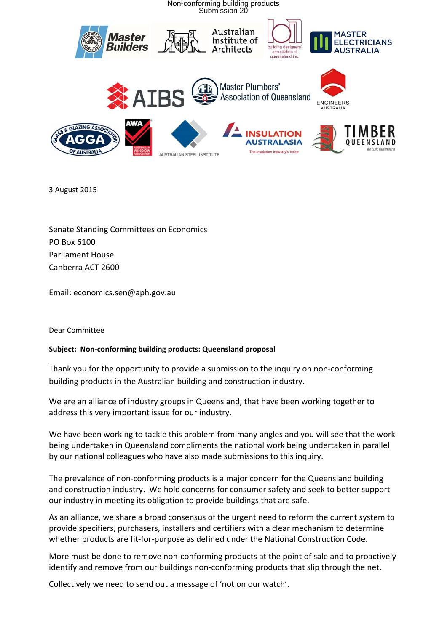

3 August 2015

Senate Standing Committees on Economics PO Box 6100 Parliament House Canberra ACT 2600

Email: economics.sen@aph.gov.au

### Dear Committee

### **Subject: Non‐conforming building products: Queensland proposal**

Thank you for the opportunity to provide a submission to the inquiry on non‐conforming building products in the Australian building and construction industry.

We are an alliance of industry groups in Queensland, that have been working together to address this very important issue for our industry.

We have been working to tackle this problem from many angles and you will see that the work being undertaken in Queensland compliments the national work being undertaken in parallel by our national colleagues who have also made submissions to this inquiry.

The prevalence of non-conforming products is a major concern for the Queensland building and construction industry. We hold concerns for consumer safety and seek to better support our industry in meeting its obligation to provide buildings that are safe.

As an alliance, we share a broad consensus of the urgent need to reform the current system to provide specifiers, purchasers, installers and certifiers with a clear mechanism to determine whether products are fit-for-purpose as defined under the National Construction Code.

More must be done to remove non‐conforming products at the point of sale and to proactively identify and remove from our buildings non‐conforming products that slip through the net.

Collectively we need to send out a message of 'not on our watch'.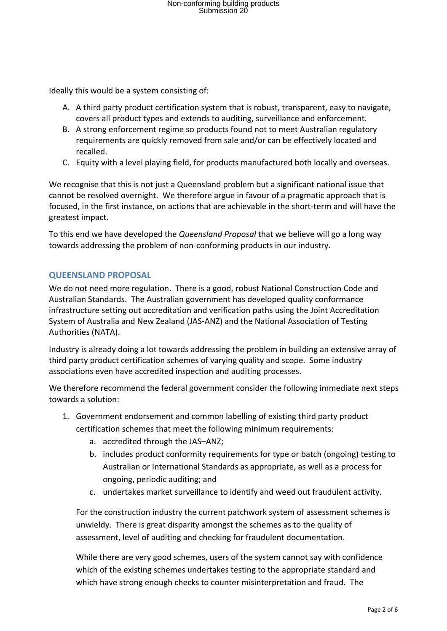Ideally this would be a system consisting of:

- A. A third party product certification system that is robust, transparent, easy to navigate, covers all product types and extends to auditing, surveillance and enforcement.
- B. A strong enforcement regime so products found not to meet Australian regulatory requirements are quickly removed from sale and/or can be effectively located and recalled.
- C. Equity with a level playing field, for products manufactured both locally and overseas.

We recognise that this is not just a Queensland problem but a significant national issue that cannot be resolved overnight. We therefore argue in favour of a pragmatic approach that is focused, in the first instance, on actions that are achievable in the short‐term and will have the greatest impact.

To this end we have developed the *Queensland Proposal* that we believe will go a long way towards addressing the problem of non‐conforming products in our industry.

### **QUEENSLAND PROPOSAL**

We do not need more regulation. There is a good, robust National Construction Code and Australian Standards. The Australian government has developed quality conformance infrastructure setting out accreditation and verification paths using the Joint Accreditation System of Australia and New Zealand (JAS‐ANZ) and the National Association of Testing Authorities (NATA).

Industry is already doing a lot towards addressing the problem in building an extensive array of third party product certification schemes of varying quality and scope. Some industry associations even have accredited inspection and auditing processes.

We therefore recommend the federal government consider the following immediate next steps towards a solution:

- 1. Government endorsement and common labelling of existing third party product certification schemes that meet the following minimum requirements:
	- a. accredited through the JAS–ANZ;
	- b. includes product conformity requirements for type or batch (ongoing) testing to Australian or International Standards as appropriate, as well as a process for ongoing, periodic auditing; and
	- c. undertakes market surveillance to identify and weed out fraudulent activity.

For the construction industry the current patchwork system of assessment schemes is unwieldy. There is great disparity amongst the schemes as to the quality of assessment, level of auditing and checking for fraudulent documentation.

While there are very good schemes, users of the system cannot say with confidence which of the existing schemes undertakes testing to the appropriate standard and which have strong enough checks to counter misinterpretation and fraud. The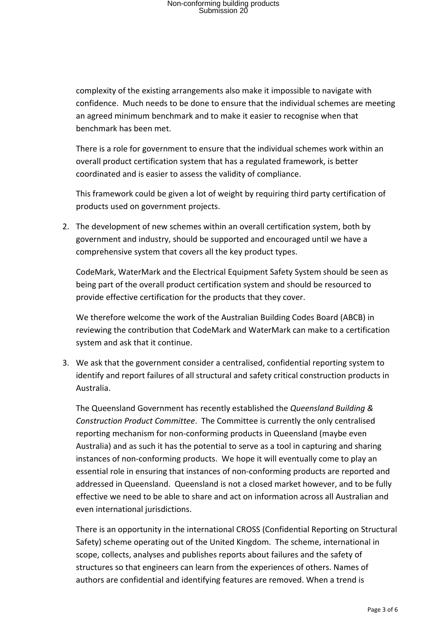complexity of the existing arrangements also make it impossible to navigate with confidence. Much needs to be done to ensure that the individual schemes are meeting an agreed minimum benchmark and to make it easier to recognise when that benchmark has been met.

There is a role for government to ensure that the individual schemes work within an overall product certification system that has a regulated framework, is better coordinated and is easier to assess the validity of compliance.

This framework could be given a lot of weight by requiring third party certification of products used on government projects.

2. The development of new schemes within an overall certification system, both by government and industry, should be supported and encouraged until we have a comprehensive system that covers all the key product types.

CodeMark, WaterMark and the Electrical Equipment Safety System should be seen as being part of the overall product certification system and should be resourced to provide effective certification for the products that they cover.

We therefore welcome the work of the Australian Building Codes Board (ABCB) in reviewing the contribution that CodeMark and WaterMark can make to a certification system and ask that it continue.

3. We ask that the government consider a centralised, confidential reporting system to identify and report failures of all structural and safety critical construction products in Australia.

The Queensland Government has recently established the *Queensland Building & Construction Product Committee*. The Committee is currently the only centralised reporting mechanism for non‐conforming products in Queensland (maybe even Australia) and as such it has the potential to serve as a tool in capturing and sharing instances of non‐conforming products. We hope it will eventually come to play an essential role in ensuring that instances of non‐conforming products are reported and addressed in Queensland. Queensland is not a closed market however, and to be fully effective we need to be able to share and act on information across all Australian and even international jurisdictions.

There is an opportunity in the international CROSS (Confidential Reporting on Structural Safety) scheme operating out of the United Kingdom. The scheme, international in scope, collects, analyses and publishes reports about failures and the safety of structures so that engineers can learn from the experiences of others. Names of authors are confidential and identifying features are removed. When a trend is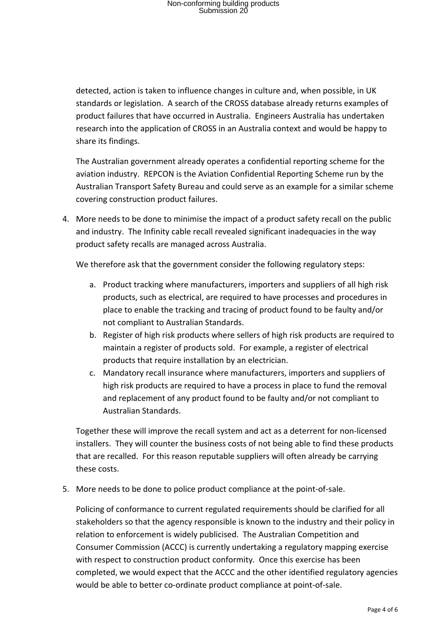detected, action is taken to influence changes in culture and, when possible, in UK standards or legislation. A search of the CROSS database already returns examples of product failures that have occurred in Australia. Engineers Australia has undertaken research into the application of CROSS in an Australia context and would be happy to share its findings.

The Australian government already operates a confidential reporting scheme for the aviation industry. REPCON is the Aviation Confidential Reporting Scheme run by the Australian Transport Safety Bureau and could serve as an example for a similar scheme covering construction product failures.

4. More needs to be done to minimise the impact of a product safety recall on the public and industry. The Infinity cable recall revealed significant inadequacies in the way product safety recalls are managed across Australia.

We therefore ask that the government consider the following regulatory steps:

- a. Product tracking where manufacturers, importers and suppliers of all high risk products, such as electrical, are required to have processes and procedures in place to enable the tracking and tracing of product found to be faulty and/or not compliant to Australian Standards.
- b. Register of high risk products where sellers of high risk products are required to maintain a register of products sold. For example, a register of electrical products that require installation by an electrician.
- c. Mandatory recall insurance where manufacturers, importers and suppliers of high risk products are required to have a process in place to fund the removal and replacement of any product found to be faulty and/or not compliant to Australian Standards.

Together these will improve the recall system and act as a deterrent for non‐licensed installers. They will counter the business costs of not being able to find these products that are recalled. For this reason reputable suppliers will often already be carrying these costs.

5. More needs to be done to police product compliance at the point‐of‐sale.

Policing of conformance to current regulated requirements should be clarified for all stakeholders so that the agency responsible is known to the industry and their policy in relation to enforcement is widely publicised. The Australian Competition and Consumer Commission (ACCC) is currently undertaking a regulatory mapping exercise with respect to construction product conformity. Once this exercise has been completed, we would expect that the ACCC and the other identified regulatory agencies would be able to better co-ordinate product compliance at point-of-sale.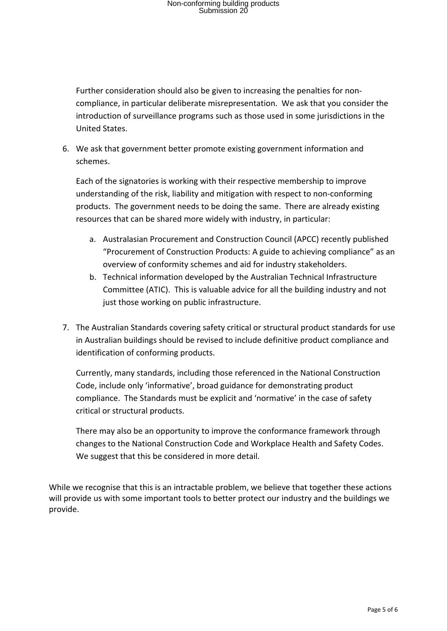Further consideration should also be given to increasing the penalties for non‐ compliance, in particular deliberate misrepresentation. We ask that you consider the introduction of surveillance programs such as those used in some jurisdictions in the United States.

6. We ask that government better promote existing government information and schemes.

Each of the signatories is working with their respective membership to improve understanding of the risk, liability and mitigation with respect to non‐conforming products. The government needs to be doing the same. There are already existing resources that can be shared more widely with industry, in particular:

- a. Australasian Procurement and Construction Council (APCC) recently published "Procurement of Construction Products: A guide to achieving compliance" as an overview of conformity schemes and aid for industry stakeholders.
- b. Technical information developed by the Australian Technical Infrastructure Committee (ATIC). This is valuable advice for all the building industry and not just those working on public infrastructure.
- 7. The Australian Standards covering safety critical or structural product standards for use in Australian buildings should be revised to include definitive product compliance and identification of conforming products.

Currently, many standards, including those referenced in the National Construction Code, include only 'informative', broad guidance for demonstrating product compliance. The Standards must be explicit and 'normative' in the case of safety critical or structural products.

There may also be an opportunity to improve the conformance framework through changes to the National Construction Code and Workplace Health and Safety Codes. We suggest that this be considered in more detail.

While we recognise that this is an intractable problem, we believe that together these actions will provide us with some important tools to better protect our industry and the buildings we provide.